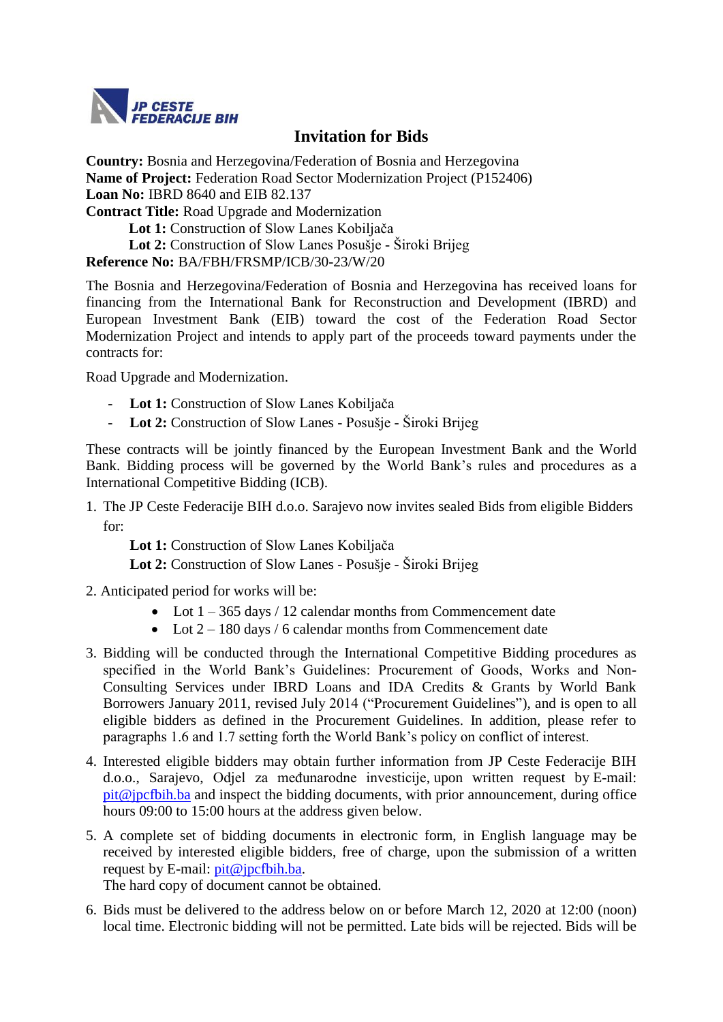

## **Invitation for Bids**

**Country:** Bosnia and Herzegovina/Federation of Bosnia and Herzegovina **Name of Project:** Federation Road Sector Modernization Project (P152406) **Loan No:** IBRD 8640 and EIB 82.137 **Contract Title:** Road Upgrade and Modernization **Lot 1:** Construction of Slow Lanes Kobiljača **Lot 2:** Construction of Slow Lanes Posušje - Široki Brijeg

**Reference No:** BA/FBH/FRSMP/ICB/30-23/W/20

The Bosnia and Herzegovina/Federation of Bosnia and Herzegovina has received loans for financing from the International Bank for Reconstruction and Development (IBRD) and European Investment Bank (EIB) toward the cost of the Federation Road Sector Modernization Project and intends to apply part of the proceeds toward payments under the contracts for:

Road Upgrade and Modernization.

- **Lot 1:** Construction of Slow Lanes Kobiljača
- **Lot 2:** Construction of Slow Lanes Posušje Široki Brijeg

These contracts will be jointly financed by the European Investment Bank and the World Bank. Bidding process will be governed by the World Bank's rules and procedures as a International Competitive Bidding (ICB).

1. The JP Ceste Federacije BIH d.o.o. Sarajevo now invites sealed Bids from eligible Bidders for:

**Lot 1:** Construction of Slow Lanes Kobiljača **Lot 2:** Construction of Slow Lanes - Posušje - Široki Brijeg

- 2. Anticipated period for works will be:
	- Lot  $1 365$  days / 12 calendar months from Commencement date
	- Lot  $2 180$  days / 6 calendar months from Commencement date
- 3. Bidding will be conducted through the International Competitive Bidding procedures as specified in the World Bank's Guidelines: Procurement of Goods, Works and Non-Consulting Services under IBRD Loans and IDA Credits & Grants by World Bank Borrowers January 2011, revised July 2014 ("Procurement Guidelines"), and is open to all eligible bidders as defined in the Procurement Guidelines. In addition, please refer to paragraphs 1.6 and 1.7 setting forth the World Bank's policy on conflict of interest.
- 4. Interested eligible bidders may obtain further information from JP Ceste Federacije BIH d.o.o., Sarajevo, Odjel za međunarodne investicije, upon written request by E**-**mail: [pit@jpcfbih.ba](mailto:pit@jpcfbih.ba) and inspect the bidding documents, with prior announcement, during office hours 09:00 to 15:00 hours at the address given below.
- 5. A complete set of bidding documents in electronic form, in English language may be received by interested eligible bidders, free of charge, upon the submission of a written request by E-mail: [pit@jpcfbih.ba.](mailto:pit@jpcfbih.ba)

The hard copy of document cannot be obtained.

6. Bids must be delivered to the address below on or before March 12, 2020 at 12:00 (noon) local time. Electronic bidding will not be permitted. Late bids will be rejected. Bids will be